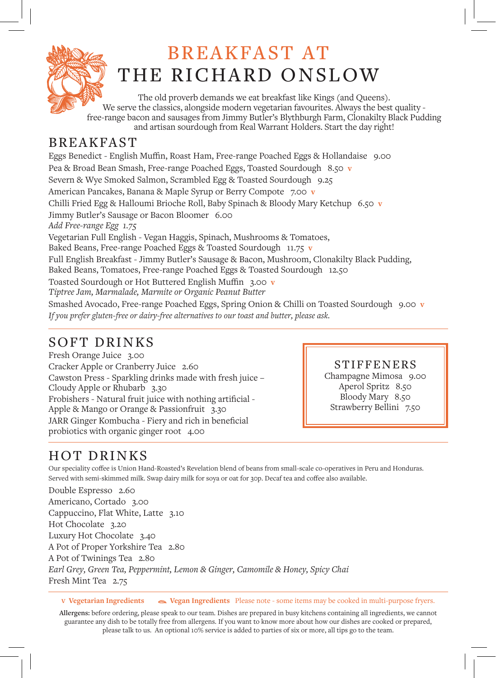

# BREAKFAST AT THE RICHARD ONSLOW

The old proverb demands we eat breakfast like Kings (and Queens). We serve the classics, alongside modern vegetarian favourites. Always the best quality free-range bacon and sausages from Jimmy Butler's Blythburgh Farm, Clonakilty Black Pudding and artisan sourdough from Real Warrant Holders. Start the day right!

### **BREAKFAST**

Eggs Benedict - English Muffin, Roast Ham, Free-range Poached Eggs & Hollandaise 9.00 Pea & Broad Bean Smash, Free-range Poached Eggs, Toasted Sourdough 8.50 **v** Severn & Wye Smoked Salmon, Scrambled Egg & Toasted Sourdough 9.25 American Pancakes, Banana & Maple Syrup or Berry Compote 7.00 **v** Chilli Fried Egg & Halloumi Brioche Roll, Baby Spinach & Bloody Mary Ketchup 6.50 **v** Jimmy Butler's Sausage or Bacon Bloomer 6.00 *Add Free-range Egg 1.75* Vegetarian Full English - Vegan Haggis, Spinach, Mushrooms & Tomatoes, Baked Beans, Free-range Poached Eggs & Toasted Sourdough 11.75 **v** Full English Breakfast - Jimmy Butler's Sausage & Bacon, Mushroom, Clonakilty Black Pudding, Baked Beans, Tomatoes, Free-range Poached Eggs & Toasted Sourdough 12.50 Toasted Sourdough or Hot Buttered English Muffin 3.00 **v** *Tiptree Jam, Marmalade, Marmite or Organic Peanut Butter* Smashed Avocado, Free-range Poached Eggs, Spring Onion & Chilli on Toasted Sourdough 9.00 **v**

*If you prefer gluten-free or dairy-free alternatives to our toast and butter, please ask.*

### SOFT DRINKS

Fresh Orange Juice 3.00 Cracker Apple or Cranberry Juice 2.60 Cawston Press - Sparkling drinks made with fresh juice – Cloudy Apple or Rhubarb 3.30 Frobishers - Natural fruit juice with nothing artificial - Apple & Mango or Orange & Passionfruit 3.30 JARR Ginger Kombucha - Fiery and rich in beneficial probiotics with organic ginger root 4.00

#### STIFFENERS

Champagne Mimosa 9.00 Aperol Spritz 8.50 Bloody Mary 8.50 Strawberry Bellini 7.50

## HOT DRINKS

Our speciality coffee is Union Hand-Roasted's Revelation blend of beans from small-scale co-operatives in Peru and Honduras. Served with semi-skimmed milk. Swap dairy milk for soya or oat for 30p. Decaf tea and coffee also available.

Double Espresso 2.60 Americano, Cortado 3.00 Cappuccino, Flat White, Latte 3.10 Hot Chocolate 3.20 Luxury Hot Chocolate 3.40 A Pot of Proper Yorkshire Tea 2.80 A Pot of Twinings Tea 2.80 *Earl Grey, Green Tea, Peppermint, Lemon & Ginger, Camomile & Honey, Spicy Chai* Fresh Mint Tea 2.75

**V Vegetarian Ingredients Vegan Ingredients** Please note - some items may be cooked in multi-purpose fryers.

**Allergens:** before ordering, please speak to our team. Dishes are prepared in busy kitchens containing all ingredients, we cannot guarantee any dish to be totally free from allergens. If you want to know more about how our dishes are cooked or prepared, please talk to us. An optional 10% service is added to parties of six or more, all tips go to the team.